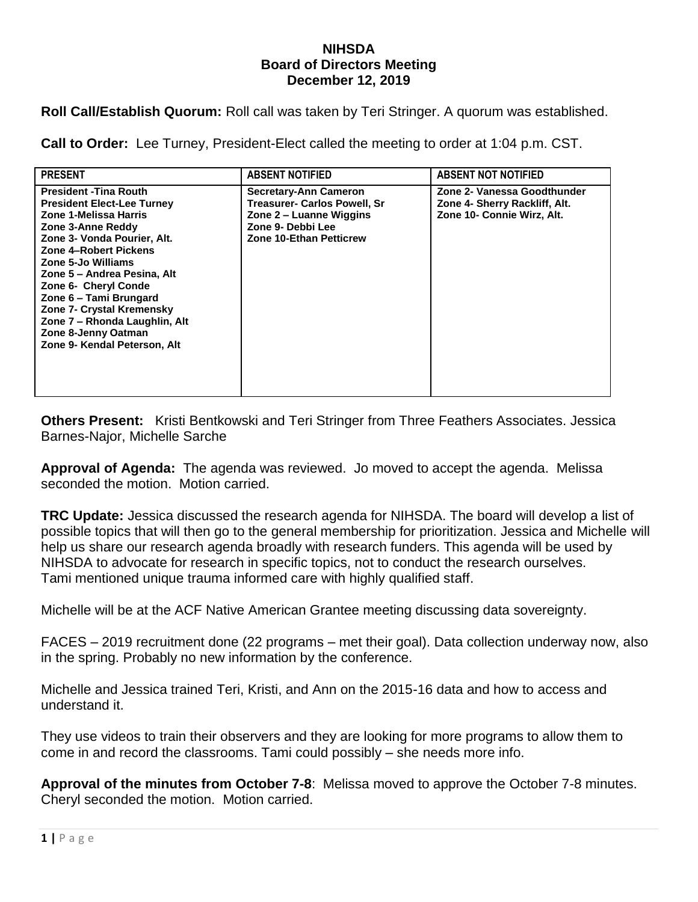## **NIHSDA Board of Directors Meeting December 12, 2019**

**Roll Call/Establish Quorum:** Roll call was taken by Teri Stringer. A quorum was established.

**Call to Order:** Lee Turney, President-Elect called the meeting to order at 1:04 p.m. CST.

| <b>PRESENT</b>                                                                                                                                                                                                                                                                                                                                                                                              | <b>ABSENT NOTIFIED</b>                                                                                                                                | <b>ABSENT NOT NOTIFIED</b>                                                                 |
|-------------------------------------------------------------------------------------------------------------------------------------------------------------------------------------------------------------------------------------------------------------------------------------------------------------------------------------------------------------------------------------------------------------|-------------------------------------------------------------------------------------------------------------------------------------------------------|--------------------------------------------------------------------------------------------|
| <b>President - Tina Routh</b><br><b>President Elect-Lee Turney</b><br>Zone 1-Melissa Harris<br>Zone 3-Anne Reddy<br>Zone 3- Vonda Pourier, Alt.<br>Zone 4-Robert Pickens<br>Zone 5-Jo Williams<br>Zone 5 – Andrea Pesina, Alt<br>Zone 6- Cheryl Conde<br>Zone 6 - Tami Brungard<br><b>Zone 7- Crystal Kremensky</b><br>Zone 7 - Rhonda Laughlin, Alt<br>Zone 8-Jenny Oatman<br>Zone 9- Kendal Peterson, Alt | <b>Secretary-Ann Cameron</b><br><b>Treasurer- Carlos Powell, Sr</b><br>Zone 2 – Luanne Wiggins<br>Zone 9- Debbi Lee<br><b>Zone 10-Ethan Petticrew</b> | Zone 2- Vanessa Goodthunder<br>Zone 4- Sherry Rackliff, Alt.<br>Zone 10- Connie Wirz, Alt. |

**Others Present:** Kristi Bentkowski and Teri Stringer from Three Feathers Associates. Jessica Barnes-Najor, Michelle Sarche

**Approval of Agenda:** The agenda was reviewed. Jo moved to accept the agenda. Melissa seconded the motion. Motion carried.

**TRC Update:** Jessica discussed the research agenda for NIHSDA. The board will develop a list of possible topics that will then go to the general membership for prioritization. Jessica and Michelle will help us share our research agenda broadly with research funders. This agenda will be used by NIHSDA to advocate for research in specific topics, not to conduct the research ourselves. Tami mentioned unique trauma informed care with highly qualified staff.

Michelle will be at the ACF Native American Grantee meeting discussing data sovereignty.

FACES – 2019 recruitment done (22 programs – met their goal). Data collection underway now, also in the spring. Probably no new information by the conference.

Michelle and Jessica trained Teri, Kristi, and Ann on the 2015-16 data and how to access and understand it.

They use videos to train their observers and they are looking for more programs to allow them to come in and record the classrooms. Tami could possibly – she needs more info.

**Approval of the minutes from October 7-8**: Melissa moved to approve the October 7-8 minutes. Cheryl seconded the motion. Motion carried.